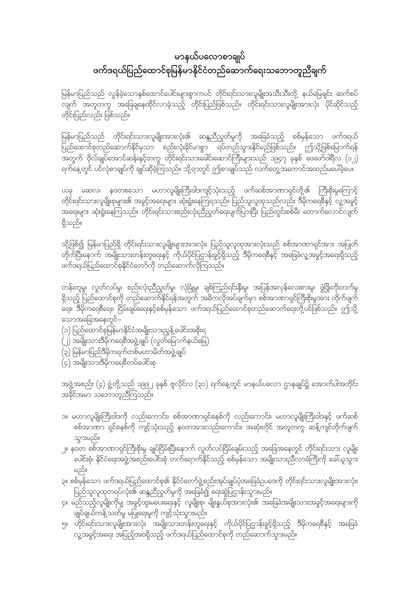## မာနယ်ပလောစာချုပ် ဖက်ဒရယ်ပြည်ထောင်စုမြန်မာနိုင်ငံတည်ဆောက်ရေးသဘောတူညီချက်

မြန်မာပြည်သည် လွန်ခဲ့သောနှစ်ထောင်ပေါင်းများစွာကပင် တိုင်းရင်းသားလူမျိုးအသီးသီးတို့ နယ်မြေချင်း ဆက်စပ် ိုင်္ဂြိုက် အတူတကွ အခြေချနေထိုင်လာခဲ့သည့် တိုင်းပြည်ဖြစ်သည်။ တိုင်းရင်းသားလူမျိုးအားလုံး ပိုင်ဆိုင်သည့် တိုင်းပြည်လည်း ဖြစ်သည်။

မြန်မာပြည်သည် တိုင်းရင်းသားလူမျိုးအားလုံး၏ ဆန္ဒညီညွတ်မှုကို အခြေခံသည့် စစ်မှန်သော ဖက်ဒရယ် ပြည်ထောင်စုတည်ဆောက်နိုင်မှသာ စည်းလုံးခိုင်မာစွာ ရပ်တည်သွားနိုင်မည်ဖြစ်သည်။ ဤသို့ဖြစ်မြောက်ရန် ိုင်<br>အတွက် ဗိုလ်ချုပ်အောင်ဆန်းနှင့်တကွ တိုင်းရင်းသားခေါင်းဆောင်ကြီးများသည် ၁၉၄၇ ခုနှစ် ဖေဖော်ဝါရီလ (၁၂) ရက်နေ့တွင် ပင်လုံစာချုပ်ကို ချုပ်ဆိုခဲ့ကြသည်။ သို့ရာတွင် ဤစာချုပ်သည် လက်တွေ့အကောင်အထည်မပေါ်ခဲ့ပေ။

ယခု မဆလ၊ နဝတစသော မဟာလူမျိုးကြီးဝါဒကျင့်သုံးသည့် ဖက်ဆစ်အာဏာရှင်တို့၏ ကြီးစိုးမှုကြောင့် တိုင်းရင်းသားလူမျိုးစုများ၏ အခွင့်အရေးများ ဆုံးရှုံးနေကြရသည်။ ပြည်သူလူထုသည်လည်း ဒီမိုကရေစီနှင့် လူ့အခွင့် အရေးများ ဆုံးရှုံးနေကြသည်။ တိုင်းရင်းသားစည်းလုံးညီညွတ်ရေးပျက်ပြားပြီး ပြည်တွင်းစစ်မီး တောက်လောင်လျက် ရှိသည်။

သို့ဖြစ်၍ မြန်မာပြည်ရှိ တိုင်းရင်းသားလူမျိုးများအားလုံး၊ ပြည်သူလူထုအားလုံးသည် စစ်အာဏာရှင်အား အပြုတ် ့်<br>တိုက်ပြီးနောက် အမျိုးသားတန်းတူရေးနှင့် ကိုယ်ပိုင်ပြဌာန်းခွင့်ရှိသည့် ဒီမိုကရေစီနှင့် အခြေခံလူ့အခွင့်အရေးရှိသည့် ဖက်ဒရယ်ပြည်ထောင်စုနိုင်ငံတော်ကို တည်ဆောက်လိုကြသည်။

တန်းတူမှု၊ လွတ်လပ်မှု၊ စည်းလုံးညီညွှတ်မှု၊ လုံခြုံမှု၊ ချစ်ကြည်ရင်းနှီးမှု၊ အပြန်အလှန်လေးစားမှု၊ ဖွံဖြိုးတိုးတက်မှု ရှိသည့် ပြည်ထောင်စုကို တည်ဆောက်နိုင်ရန်အတွက် အဓိကလိုအပ်ချက်မှာ စစ်အာဏာရှင်ကြီးစိုးမှုအား တိုက်ဖျက် ာ<br>ရေး၊ ဒီမိုကရေစီရေး၊ ငြိမ်းချမ်းရေးနှင့်စစ်မှန်သော ဖက်ဒရယ်ပြည်ထောင်စုတည်ဆောက်ရေးတို့ပင်ဖြစ်သည်။ ဤသို့ သောအခြေအနေတွင်–

- (၁) ပြည်ထောင်စုမြန်မာနိုင်ငံအမျိုးသားညွန့်ပေါင်းအစိုးရ
- (၂) အမျိုးသားဒီမိုကရေစီအဖွဲ့ချုပ် (လွတ်မြောက်နယ်မြေ)
- (၃) မြန်မာပြည်ဒီမိုကရက်တစ်မဟာမိတ်အဖွဲ့ချုပ်
- ်<br>(၄) အမျိုးသားဒီမိုကရေစီတပ်ပေါင်းစု

အဖွဲ့အစည်း (၄) ဖွဲ့တို့သည် ၁၉၉၂ ခုနှစ် ဇူလိုင်လ (၃၁) ရက်နေ့တွင် မာနယ်ပလော ဌာနချုပ်၌ အောက်ပါအတိုင်း အနိုင်အမာ သဘောတူညီကြသည်။

- ၁။ မဟာလူမျိုးကြီးဝါဒကို လည်းကောင်း၊ စစ်အာဏာရှင်စနစ်ကို လည်းကောင်း၊ မဟာလူမျိုးကြီးဝါဒနှင့် ဖက်ဆစ် စစ်အာဏာ ရှင်စနစ်ကို ကျင့်သုံးသည့် နဝတအားလည်းကောင်း၊ အဆုံးတိုင် အတူတကွ ဆန့်ကျင်တိုက်ဖျက် သွားမည်။
- ၂။ နဝတ စစ်အာဏာရှင်ကြီးစိုးမှု ချုပ်ငြိမ်းပြီးနောက် လွတ်လပ်ငြိမ်းချမ်းသည့် အခြေအနေတွင် တိုင်းရင်းသား လူမျိုး .<br>ပေါင်းစုံ၊ နိုင်ငံရေးအဖွဲ့အစည်းပေါင်းစုံ တက်ရောက်နိုင်သည့် စစ်မှန်သော အမျိုးသားညီလာခံကြီးကို ခေါ်ယူသွား မည်။
- ၃။ စစ်မှန်သော ဖက်ဒရယ်ပြည်ထောင်စု၏ နိုင်ငံတော်ဖွဲ့စည်းအုပ်ချုပ်ပုံအခြေခံဥပဒေကို တိုင်းရင်းသားလူမျိုးအားလုံး၊ ပြည်သူလူထုတရပ်လုံး၏ ဆန္ဒညီညွတ်မှုကို အခြေခံ၍ ရေးဆွဲပြဌာန်းသွားမည်။
- ၄။ မည်သည့်လူမျိုးကိုမျှ အခွင့်ထူးမပေးရေးနှင့် လူမျိုးစု၊ မျိုးနွယ်စုအားလုံး၏ အခြေခံအမျိုးသားအခွင့်အရေးများကို -<br>ချုပ်ချယ်ကန့်သတ်မှု မပြုရေးမူကို ကျင့်သုံးသွားမည်။
- ၅။ တိုင်းရင်းသားလူမျိုးအားလုံး အမျိုးသားတန်းတူရေးနှင့် ကိုယ်ပိုင်ပြဌာန်းခွင့်ရှိသည့် ဒီမိုကရေစီနှင့် အခြေခံ လူ့အခွင့်အရေး အပြည့်အဝရှိသည့် ဖက်ဒရယ်ပြည်ထောင်စုကို တည်ဆောက်သွားမည်။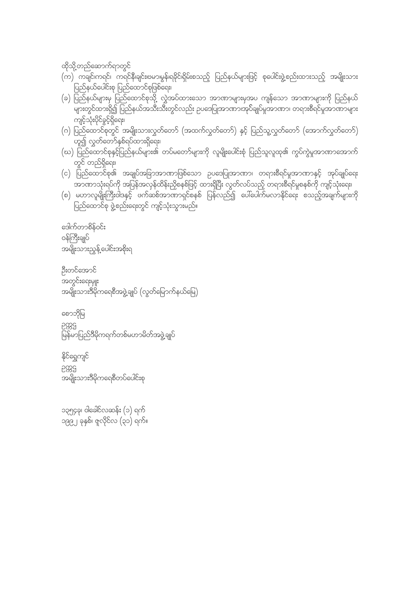၁၃၅၄ခု၊ ဝါခေါင်လဆန်း (၁) ရက် ၁၉၉၂ ခုနှစ်၊ ဇူလိုင်လ<sup>ုံ</sup>(၃၁) ရက်။

နိုင်ရွှေကျင် PBS အမျိုးသားဒီမိုကရေစီတပ်ပေါင်းစု

စောဘိုမြ 5885

င်က<br>မြန်မာပြည်ဒီမိုကရက်တစ်မဟာမိတ်အဖွဲ့ချုပ်

ဦးတင်အောင် အတွင်းရေးမျုး အမျိုးသားဒီမိုကရေစီအဖွဲ့ချုပ် (လွတ်မြောက်နယ်မြေ)

ဒေါက်တာစိန်ဝင်း ဝန်ကြီးချုပ် အမျိုးသားညွန့်ပေါင်းအစိုးရ

- (စ) မဟာလူမျိုးကြီးဝါဒနှင့် ဖက်ဆစ်အာဏာရှင်စနစ် ပြန်လည်၍ ပေါ်ပေါက်မလာနိုင်ရေး စသည့်အချက်များကို ပြည်ထောင်စု ဖွဲ့စည်းရေးတွင် ကျင့်သုံးသွားမည်။
- တွင် တည်ရှိရေး၊ (င) ပြည်ထောင်စု၏ အချုပ်အခြာအာဏာဖြစ်သော ဥပဒေပြုအာဏာ၊ တရားစီရင်မှုအာဏာနှင့် အုပ်ချုပ်ရေး အာဏာသုံးရပ်ကို အပြန်အလှန်ထိန်းညှိစနစ်ဖြင့် ထားရှိပြီး လွတ်လပ်သည့် တရားစီရင်မှုစနစ်ကို ကျင့်သုံးရေး၊
- ဟူ၍ လွှတ်တော်နှစ်ရပ်ထားရှိရေး၊ (ဃ) ပြည်ထောင်စုနှင့်ပြည်နယ်များ၏ တပ်မတော်များကို လူမျိုးပေါင်းစုံ ပြည်သူလူထု၏ ကွပ်ကွဲမှုအာဏာအောက်
- ကျင့်သုံးပိုင်ခွင့်ရှိရေး၊ (ဂ) ပြည်ထောင်စုတွင် အမျိုးသားလွှတ်တော် (အထက်လွှတ်တော်) နှင့် ပြည်သူ့လွှတ်တော် (အောက်လွှတ်တော်)
- ပြည်နယ်ပေါင်းစု ပြည်ထောင်စုဖြစ်ရေး၊ (ခ) ပြည်နယ်များမှ ပြည်ထောင်စုသို့ လွှဲအပ်ထားသော အာဏာများမှအပ ကျန်သော အာဏာများကို ပြည်နယ် မြောက်<br>များတွင်ထားရှိ၍ ပြည်နယ်အသီးသီးတွင်လည်း ဥပဒေပြုအာဏာ၊အုပ်ချုပ်မှုအာဏာ၊ တရားစီရင်မှုအာဏာများ
- ထိုသို့တည်ဆောက်ရာတွင် (က) ကချင်၊ကရင်၊ ကရင်နီ၊ချင်း၊ဗမာ၊မွန်၊ရခိုင်၊ရှိမ်းစသည့် ပြည်နယ်များဖြင့် စုပေါင်းဖွဲ့စည်းထားသည့် အမျိုးသား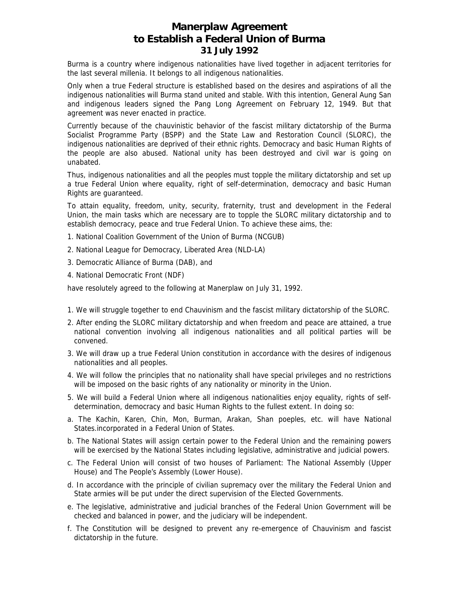## **Manerplaw Agreement to Establish a Federal Union of Burma 31 July 1992**

Burma is a country where indigenous nationalities have lived together in adjacent territories for the last several millenia. It belongs to all indigenous nationalities.

Only when a true Federal structure is established based on the desires and aspirations of all the indigenous nationalities will Burma stand united and stable. With this intention, General Aung San and indigenous leaders signed the Pang Long Agreement on February 12, 1949. But that agreement was never enacted in practice.

Currently because of the chauvinistic behavior of the fascist military dictatorship of the Burma Socialist Programme Party (BSPP) and the State Law and Restoration Council (SLORC), the indigenous nationalities are deprived of their ethnic rights. Democracy and basic Human Rights of the people are also abused. National unity has been destroyed and civil war is going on unabated.

Thus, indigenous nationalities and all the peoples must topple the military dictatorship and set up a true Federal Union where equality, right of self-determination, democracy and basic Human Rights are guaranteed.

To attain equality, freedom, unity, security, fraternity, trust and development in the Federal Union, the main tasks which are necessary are to topple the SLORC military dictatorship and to establish democracy, peace and true Federal Union. To achieve these aims, the:

- 1. National Coalition Government of the Union of Burma (NCGUB)
- 2. National League for Democracy, Liberated Area (NLD-LA)
- 3. Democratic Alliance of Burma (DAB), and
- 4. National Democratic Front (NDF)

have resolutely agreed to the following at Manerplaw on July 31, 1992.

- 1. We will struggle together to end Chauvinism and the fascist military dictatorship of the SLORC.
- 2. After ending the SLORC military dictatorship and when freedom and peace are attained, a true national convention involving all indigenous nationalities and all political parties will be convened.
- 3. We will draw up a true Federal Union constitution in accordance with the desires of indigenous nationalities and all peoples.
- 4. We will follow the principles that no nationality shall have special privileges and no restrictions will be imposed on the basic rights of any nationality or minority in the Union.
- 5. We will build a Federal Union where all indigenous nationalities enjoy equality, rights of selfdetermination, democracy and basic Human Rights to the fullest extent. In doing so:
- a. The Kachin, Karen, Chin, Mon, Burman, Arakan, Shan poeples, etc. will have National States.incorporated in a Federal Union of States.
- b. The National States will assign certain power to the Federal Union and the remaining powers will be exercised by the National States including legislative, administrative and judicial powers.
- c. The Federal Union will consist of two houses of Parliament: The National Assembly (Upper House) and The People's Assembly (Lower House).
- d. In accordance with the principle of civilian supremacy over the military the Federal Union and State armies will be put under the direct supervision of the Elected Governments.
- e. The legislative, administrative and judicial branches of the Federal Union Government will be checked and balanced in power, and the judiciary will be independent.
- f. The Constitution will be designed to prevent any re-emergence of Chauvinism and fascist dictatorship in the future.